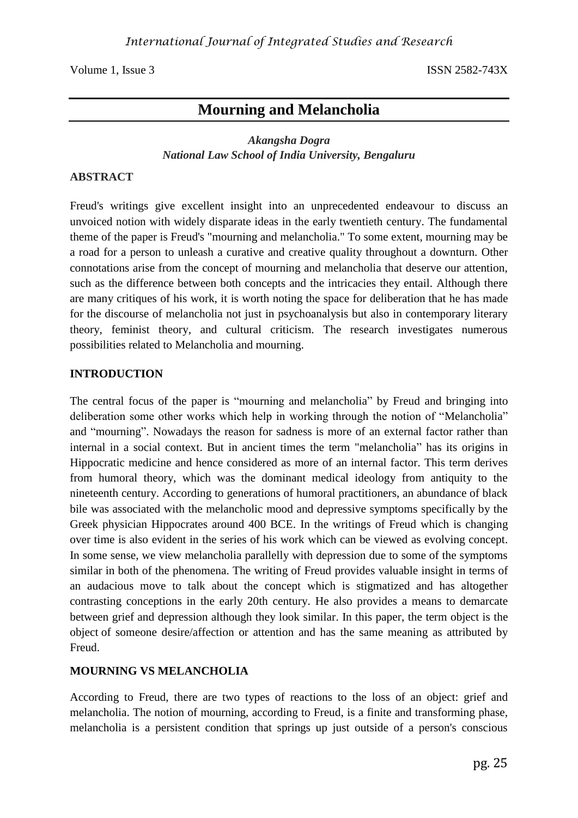Volume 1, Issue 3 ISSN 2582-743X

# **Mourning and Melancholia**

## *Akangsha Dogra National Law School of India University, Bengaluru*

## **ABSTRACT**

Freud's writings give excellent insight into an unprecedented endeavour to discuss an unvoiced notion with widely disparate ideas in the early twentieth century. The fundamental theme of the paper is Freud's "mourning and melancholia." To some extent, mourning may be a road for a person to unleash a curative and creative quality throughout a downturn. Other connotations arise from the concept of mourning and melancholia that deserve our attention, such as the difference between both concepts and the intricacies they entail. Although there are many critiques of his work, it is worth noting the space for deliberation that he has made for the discourse of melancholia not just in psychoanalysis but also in contemporary literary theory, feminist theory, and cultural criticism. The research investigates numerous possibilities related to Melancholia and mourning.

#### **INTRODUCTION**

The central focus of the paper is "mourning and melancholia" by Freud and bringing into deliberation some other works which help in working through the notion of "Melancholia" and "mourning". Nowadays the reason for sadness is more of an external factor rather than internal in a social context. But in ancient times the term "melancholia" has its origins in Hippocratic medicine and hence considered as more of an internal factor. This term derives from humoral theory, which was the dominant medical ideology from antiquity to the nineteenth century. According to generations of humoral practitioners, an abundance of black bile was associated with the melancholic mood and depressive symptoms specifically by the Greek physician Hippocrates around 400 BCE. In the writings of Freud which is changing over time is also evident in the series of his work which can be viewed as evolving concept. In some sense, we view melancholia parallelly with depression due to some of the symptoms similar in both of the phenomena. The writing of Freud provides valuable insight in terms of an audacious move to talk about the concept which is stigmatized and has altogether contrasting conceptions in the early 20th century. He also provides a means to demarcate between grief and depression although they look similar. In this paper, the term object is the object of someone desire/affection or attention and has the same meaning as attributed by Freud.

#### **MOURNING VS MELANCHOLIA**

According to Freud, there are two types of reactions to the loss of an object: grief and melancholia. The notion of mourning, according to Freud, is a finite and transforming phase, melancholia is a persistent condition that springs up just outside of a person's conscious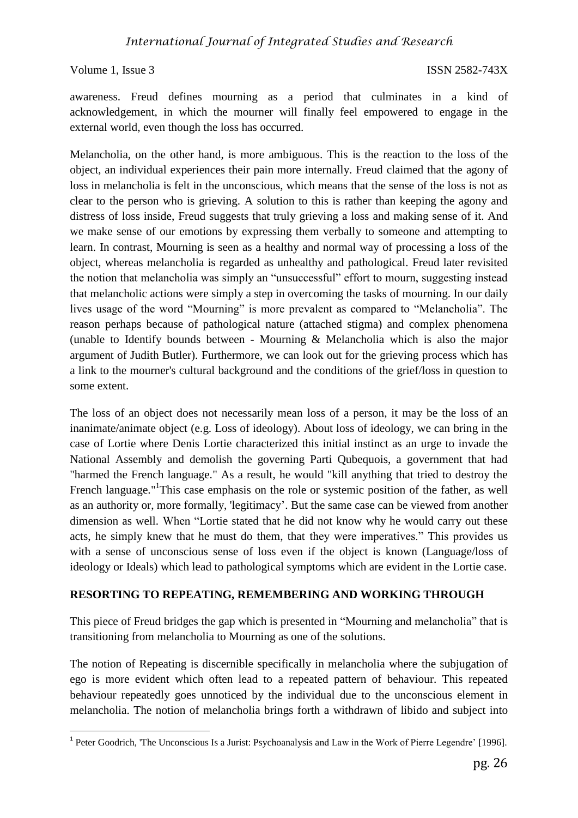#### Volume 1, Issue 3 ISSN 2582-743X

**.** 

awareness. Freud defines mourning as a period that culminates in a kind of acknowledgement, in which the mourner will finally feel empowered to engage in the external world, even though the loss has occurred.

Melancholia, on the other hand, is more ambiguous. This is the reaction to the loss of the object, an individual experiences their pain more internally. Freud claimed that the agony of loss in melancholia is felt in the unconscious, which means that the sense of the loss is not as clear to the person who is grieving. A solution to this is rather than keeping the agony and distress of loss inside, Freud suggests that truly grieving a loss and making sense of it. And we make sense of our emotions by expressing them verbally to someone and attempting to learn. In contrast, Mourning is seen as a healthy and normal way of processing a loss of the object, whereas melancholia is regarded as unhealthy and pathological. Freud later revisited the notion that melancholia was simply an "unsuccessful" effort to mourn, suggesting instead that melancholic actions were simply a step in overcoming the tasks of mourning. In our daily lives usage of the word "Mourning" is more prevalent as compared to "Melancholia". The reason perhaps because of pathological nature (attached stigma) and complex phenomena (unable to Identify bounds between - Mourning & Melancholia which is also the major argument of Judith Butler). Furthermore, we can look out for the grieving process which has a link to the mourner's cultural background and the conditions of the grief/loss in question to some extent.

The loss of an object does not necessarily mean loss of a person, it may be the loss of an inanimate/animate object (e.g. Loss of ideology). About loss of ideology, we can bring in the case of Lortie where Denis Lortie characterized this initial instinct as an urge to invade the National Assembly and demolish the governing Parti Qubequois, a government that had "harmed the French language." As a result, he would "kill anything that tried to destroy the French language."<sup>1</sup>This case emphasis on the role or systemic position of the father, as well as an authority or, more formally, 'legitimacy'. But the same case can be viewed from another dimension as well. When "Lortie stated that he did not know why he would carry out these acts, he simply knew that he must do them, that they were imperatives." This provides us with a sense of unconscious sense of loss even if the object is known (Language/loss of ideology or Ideals) which lead to pathological symptoms which are evident in the Lortie case.

## **RESORTING TO REPEATING, REMEMBERING AND WORKING THROUGH**

This piece of Freud bridges the gap which is presented in "Mourning and melancholia" that is transitioning from melancholia to Mourning as one of the solutions.

The notion of Repeating is discernible specifically in melancholia where the subjugation of ego is more evident which often lead to a repeated pattern of behaviour. This repeated behaviour repeatedly goes unnoticed by the individual due to the unconscious element in melancholia. The notion of melancholia brings forth a withdrawn of libido and subject into

<sup>&</sup>lt;sup>1</sup> Peter Goodrich, 'The Unconscious Is a Jurist: Psychoanalysis and Law in the Work of Pierre Legendre' [1996].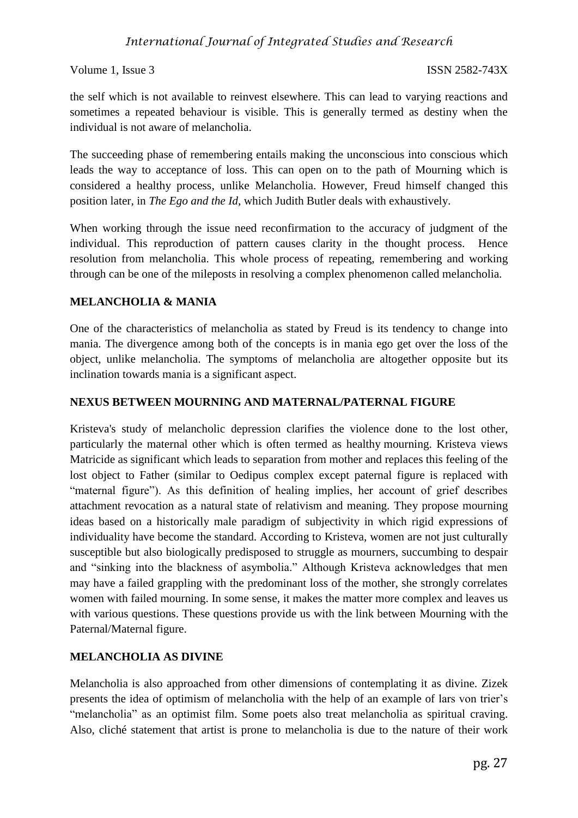## *International Journal of Integrated Studies and Research*

Volume 1, Issue 3 ISSN 2582-743X

the self which is not available to reinvest elsewhere. This can lead to varying reactions and sometimes a repeated behaviour is visible. This is generally termed as destiny when the individual is not aware of melancholia.

The succeeding phase of remembering entails making the unconscious into conscious which leads the way to acceptance of loss. This can open on to the path of Mourning which is considered a healthy process, unlike Melancholia. However, Freud himself changed this position later, in *The Ego and the Id*, which Judith Butler deals with exhaustively.

When working through the issue need reconfirmation to the accuracy of judgment of the individual. This reproduction of pattern causes clarity in the thought process. Hence resolution from melancholia. This whole process of repeating, remembering and working through can be one of the mileposts in resolving a complex phenomenon called melancholia.

## **MELANCHOLIA & MANIA**

One of the characteristics of melancholia as stated by Freud is its tendency to change into mania. The divergence among both of the concepts is in mania ego get over the loss of the object, unlike melancholia. The symptoms of melancholia are altogether opposite but its inclination towards mania is a significant aspect.

## **NEXUS BETWEEN MOURNING AND MATERNAL/PATERNAL FIGURE**

Kristeva's study of melancholic depression clarifies the violence done to the lost other, particularly the maternal other which is often termed as healthy mourning. Kristeva views Matricide as significant which leads to separation from mother and replaces this feeling of the lost object to Father (similar to Oedipus complex except paternal figure is replaced with "maternal figure"). As this definition of healing implies, her account of grief describes attachment revocation as a natural state of relativism and meaning. They propose mourning ideas based on a historically male paradigm of subjectivity in which rigid expressions of individuality have become the standard. According to Kristeva, women are not just culturally susceptible but also biologically predisposed to struggle as mourners, succumbing to despair and "sinking into the blackness of asymbolia." Although Kristeva acknowledges that men may have a failed grappling with the predominant loss of the mother, she strongly correlates women with failed mourning. In some sense, it makes the matter more complex and leaves us with various questions. These questions provide us with the link between Mourning with the Paternal/Maternal figure.

## **MELANCHOLIA AS DIVINE**

Melancholia is also approached from other dimensions of contemplating it as divine. Zizek presents the idea of optimism of melancholia with the help of an example of lars von trier's "melancholia" as an optimist film. Some poets also treat melancholia as spiritual craving. Also, cliché statement that artist is prone to melancholia is due to the nature of their work